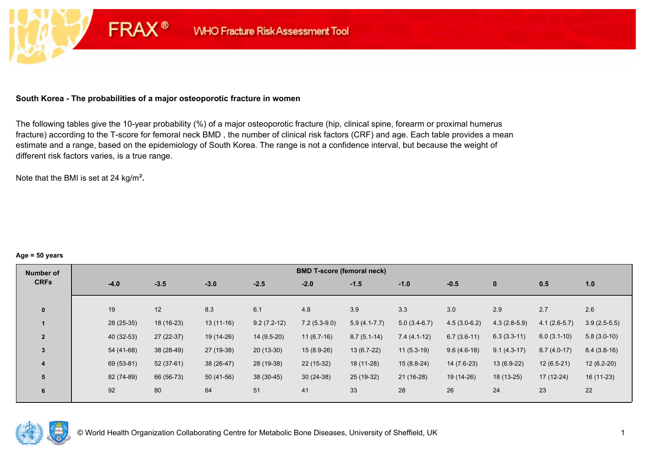#### **South Korea - The probabilities of a major osteoporotic fracture in women**

**FRAX®** 

The following tables give the 10-year probability (%) of a major osteoporotic fracture (hip, clinical spine, forearm or proximal humerus fracture) according to the T-score for femoral neck BMD , the number of clinical risk factors (CRF) and age. Each table provides a mean estimate and a range, based on the epidemiology of South Korea. The range is not a confidence interval, but because the weight of different risk factors varies, is a true range.

Note that the BMI is set at 24 kg/m²**.** 

#### **Age = 50 years**

| Number of      |            |             |             |               | <b>BMD T-score (femoral neck)</b> |                  |                |                |                |                |                |
|----------------|------------|-------------|-------------|---------------|-----------------------------------|------------------|----------------|----------------|----------------|----------------|----------------|
| <b>CRFs</b>    | $-4.0$     | $-3.5$      | $-3.0$      | $-2.5$        | $-2.0$                            | $-1.5$           | $-1.0$         | $-0.5$         | $\mathbf{0}$   | 0.5            | 1.0            |
|                |            |             |             |               |                                   |                  |                |                |                |                |                |
| $\mathbf{0}$   | 19         | 12          | 8.3         | 6.1           | 4.8                               | 3.9              | 3.3            | 3.0            | 2.9            | 2.7            | 2.6            |
|                | 28 (25-35) | 18 (16-23)  | $13(11-16)$ | $9.2(7.2-12)$ | $7.2(5.3-9.0)$                    | $5.9(4.1 - 7.7)$ | $5.0(3.4-6.7)$ | $4.5(3.0-6.2)$ | $4.3(2.8-5.9)$ | $4.1(2.6-5.7)$ | $3.9(2.5-5.5)$ |
| $\overline{2}$ | 40 (32-53) | $27(22-37)$ | 19 (14-26)  | $14(9.5-20)$  | $11(6.7-16)$                      | $8.7(5.1-14)$    | $7.4(4.1-12)$  | $6.7(3.6-11)$  | $6.3(3.3-11)$  | $6.0(3.1-10)$  | $5.8(3.0-10)$  |
| $\overline{3}$ | 54 (41-68) | 38 (28-49)  | 27 (19-38)  | $20(13-30)$   | $15(8.9-26)$                      | $13(6.7-22)$     | $11(5.3-19)$   | $9.6(4.6-18)$  | $9.1(4.3-17)$  | $8.7(4.0-17)$  | $8.4(3.8-16)$  |
| 4              | 69 (53-81) | $52(37-61)$ | 38 (26-47)  | 28 (19-38)    | 22 (15-32)                        | 18 (11-28)       | $15(8.8-24)$   | 14 (7.6-23)    | $13(6.9-22)$   | $12(6.5-21)$   | $12(6.2-20)$   |
| 5              | 82 (74-89) | 66 (56-73)  | $50(41-56)$ | $38(30-45)$   | $30(24-38)$                       | 25 (19-32)       | $21(16-28)$    | 19 (14-26)     | 18 (13-25)     | $17(12-24)$    | $16(11-23)$    |
| 6              | 92         | 80          | 64          | 51            | 41                                | 33               | 28             | 26             | 24             | 23             | 22             |

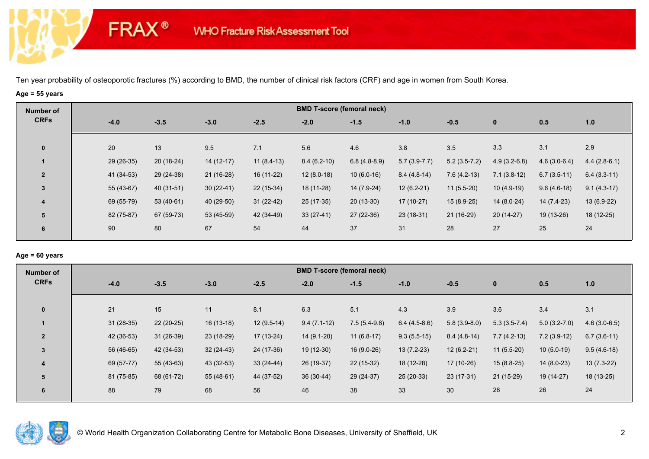# **Age = 55 years**

**FRAX®** 

| Number of      |            |             |             |              |        | <b>BMD T-score (femoral neck)</b> |                |                |                |                |                |                |
|----------------|------------|-------------|-------------|--------------|--------|-----------------------------------|----------------|----------------|----------------|----------------|----------------|----------------|
| <b>CRFs</b>    | $-4.0$     | $-3.5$      | $-3.0$      | $-2.5$       | $-2.0$ | $-1.5$                            |                | $-1.0$         | $-0.5$         | $\bf{0}$       | 0.5            | 1.0            |
| $\mathbf 0$    | 20         | 13          | 9.5         | 7.1          | 5.6    | 4.6                               |                | 3.8            | 3.5            | 3.3            | 3.1            | 2.9            |
|                | 29 (26-35) | $20(18-24)$ | $14(12-17)$ | $11(8.4-13)$ |        | $8.4(6.2-10)$                     | $6.8(4.8-8.9)$ | $5.7(3.9-7.7)$ | $5.2(3.5-7.2)$ | $4.9(3.2-6.8)$ | $4.6(3.0-6.4)$ | $4.4(2.8-6.1)$ |
| $\overline{2}$ | 41 (34-53) | 29 (24-38)  | $21(16-28)$ | $16(11-22)$  |        | $12(8.0-18)$                      | $10(6.0-16)$   | $8.4(4.8-14)$  | $7.6(4.2-13)$  | $7.1(3.8-12)$  | $6.7(3.5-11)$  | $6.4(3.3-11)$  |
| 3              | 55 (43-67) | 40 (31-51)  | $30(22-41)$ | $22(15-34)$  |        | 18 (11-28)                        | 14 (7.9-24)    | $12(6.2-21)$   | $11(5.5-20)$   | $10(4.9-19)$   | $9.6(4.6-18)$  | $9.1(4.3-17)$  |
| 4              | 69 (55-79) | $53(40-61)$ | 40 (29-50)  | $31(22-42)$  |        | $25(17-35)$                       | $20(13-30)$    | $17(10-27)$    | $15(8.9-25)$   | $14(8.0-24)$   | 14 (7.4-23)    | $13(6.9-22)$   |
| 5              | 82 (75-87) | 67 (59-73)  | 53 (45-59)  | 42 (34-49)   |        | $33(27-41)$                       | $27(22-36)$    | $23(18-31)$    | 21 (16-29)     | $20(14-27)$    | 19 (13-26)     | 18 (12-25)     |
| 6              | 90         | 80          | 67          | 54           | 44     | 37                                |                | 31             | 28             | 27             | 25             | 24             |

### **Age = 60 years**

| <b>Number of</b> |             |             |             |              |               | <b>BMD T-score (femoral neck)</b> |                |                |                |                |                |
|------------------|-------------|-------------|-------------|--------------|---------------|-----------------------------------|----------------|----------------|----------------|----------------|----------------|
| <b>CRFs</b>      | $-4.0$      | $-3.5$      | $-3.0$      | $-2.5$       | $-2.0$        | $-1.5$                            | $-1.0$         | $-0.5$         | $\mathbf 0$    | 0.5            | 1.0            |
|                  |             |             |             |              |               |                                   |                |                |                |                |                |
| $\mathbf{0}$     | 21          | 15          | 11          | 8.1          | 6.3           | 5.1                               | 4.3            | 3.9            | 3.6            | 3.4            | 3.1            |
|                  | $31(28-35)$ | $22(20-25)$ | $16(13-18)$ | $12(9.5-14)$ | $9.4(7.1-12)$ | $7.5(5.4-9.8)$                    | $6.4(4.5-8.6)$ | $5.8(3.9-8.0)$ | $5.3(3.5-7.4)$ | $5.0(3.2-7.0)$ | $4.6(3.0-6.5)$ |
| $\overline{2}$   | 42 (36-53)  | $31(26-39)$ | 23 (18-29)  | $17(13-24)$  | $14(9.1-20)$  | $11(6.8-17)$                      | $9.3(5.5-15)$  | $8.4(4.8-14)$  | $7.7(4.2-13)$  | $7.2(3.9-12)$  | $6.7(3.6-11)$  |
| $\overline{3}$   | 56 (46-65)  | 42 (34-53)  | $32(24-43)$ | 24 (17-36)   | $19(12-30)$   | 16 (9.0-26)                       | $13(7.2-23)$   | $12(6.2-21)$   | $11(5.5-20)$   | $10(5.0-19)$   | $9.5(4.6-18)$  |
| 4                | 69 (57-77)  | $55(43-63)$ | 43 (32-53)  | $33(24-44)$  | 26 (19-37)    | $22(15-32)$                       | 18 (12-28)     | 17 (10-26)     | $15(8.8-25)$   | $14(8.0-23)$   | $13(7.3-22)$   |
| 5                | 81 (75-85)  | 68 (61-72)  | $55(48-61)$ | 44 (37-52)   | $36(30-44)$   | 29 (24-37)                        | $25(20-33)$    | $23(17-31)$    | $21(15-29)$    | 19 (14-27)     | $18(13-25)$    |
| 6                | 88          | 79          | 68          | 56           | 46            | 38                                | 33             | 30             | 28             | 26             | 24             |
|                  |             |             |             |              |               |                                   |                |                |                |                |                |

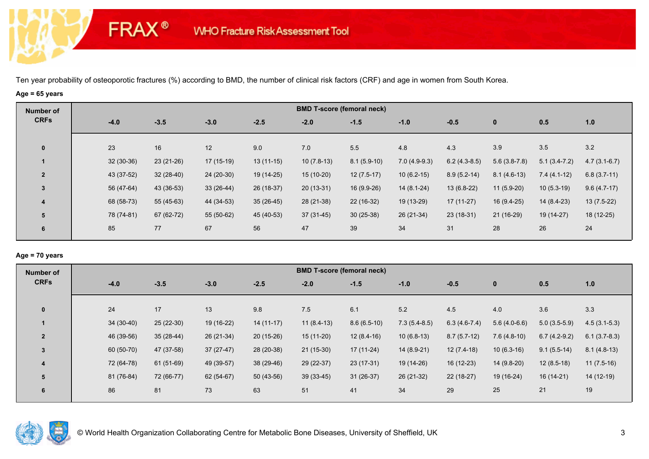# **Age = 65 years**

**FRAX®** 

| Number of      |             |             |             |             |              | <b>BMD T-score (femoral neck)</b> |                |                |                |                |                |
|----------------|-------------|-------------|-------------|-------------|--------------|-----------------------------------|----------------|----------------|----------------|----------------|----------------|
| <b>CRFs</b>    | $-4.0$      | $-3.5$      | $-3.0$      | $-2.5$      | $-2.0$       | $-1.5$                            | $-1.0$         | $-0.5$         | $\bf{0}$       | 0.5            | 1.0            |
| $\mathbf 0$    | 23          | 16          | 12          | 9.0         | 7.0          | 5.5                               | 4.8            | 4.3            | 3.9            | 3.5            | 3.2            |
|                | $32(30-36)$ | $23(21-26)$ | $17(15-19)$ | $13(11-15)$ | $10(7.8-13)$ | $8.1(5.9-10)$                     | $7.0(4.9-9.3)$ | $6.2(4.3-8.5)$ | $5.6(3.8-7.8)$ | $5.1(3.4-7.2)$ | $4.7(3.1-6.7)$ |
| $\overline{2}$ | 43 (37-52)  | $32(28-40)$ | 24 (20-30)  | 19 (14-25)  | $15(10-20)$  | $12(7.5-17)$                      | $10(6.2-15)$   | $8.9(5.2-14)$  | $8.1(4.6-13)$  | $7.4(4.1-12)$  | $6.8(3.7-11)$  |
| 3              | 56 (47-64)  | 43 (36-53)  | $33(26-44)$ | 26 (18-37)  | $20(13-31)$  | 16 (9.9-26)                       | $14(8.1-24)$   | $13(6.8-22)$   | $11(5.9-20)$   | $10(5.3-19)$   | $9.6(4.7-17)$  |
| 4              | 68 (58-73)  | $55(45-63)$ | 44 (34-53)  | $35(26-45)$ | 28 (21-38)   | 22 (16-32)                        | 19 (13-29)     | $17(11-27)$    | 16 (9.4-25)    | 14 (8.4-23)    | $13(7.5-22)$   |
| 5              | 78 (74-81)  | 67 (62-72)  | 55 (50-62)  | 45 (40-53)  | $37(31-45)$  | $30(25-38)$                       | 26 (21-34)     | $23(18-31)$    | $21(16-29)$    | 19 (14-27)     | 18 (12-25)     |
| 6              | 85          | 77          | 67          | 56          | 47           | 39                                | 34             | 31             | 28             | 26             | 24             |

### **Age = 70 years**

| Number of      |             |             |             |             |              | <b>BMD T-score (femoral neck)</b> |                |                |                |                |                |
|----------------|-------------|-------------|-------------|-------------|--------------|-----------------------------------|----------------|----------------|----------------|----------------|----------------|
| <b>CRFs</b>    | $-4.0$      | $-3.5$      | $-3.0$      | $-2.5$      | $-2.0$       | $-1.5$                            | $-1.0$         | $-0.5$         | $\mathbf{0}$   | 0.5            | 1.0            |
|                |             |             |             |             |              |                                   |                |                |                |                |                |
| $\mathbf{0}$   | 24          | 17          | 13          | 9.8         | 7.5          | 6.1                               | 5.2            | 4.5            | 4.0            | 3.6            | 3.3            |
|                | $34(30-40)$ | $25(22-30)$ | 19 (16-22)  | $14(11-17)$ | $11(8.4-13)$ | $8.6(6.5-10)$                     | $7.3(5.4-8.5)$ | $6.3(4.6-7.4)$ | $5.6(4.0-6.6)$ | $5.0(3.5-5.9)$ | $4.5(3.1-5.3)$ |
| $\overline{2}$ | 46 (39-56)  | $35(28-44)$ | $26(21-34)$ | $20(15-26)$ | $15(11-20)$  | $12(8.4-16)$                      | $10(6.8-13)$   | $8.7(5.7-12)$  | $7.6(4.8-10)$  | $6.7(4.2-9.2)$ | $6.1(3.7-8.3)$ |
| $\overline{3}$ | 60 (50-70)  | 47 (37-58)  | $37(27-47)$ | 28 (20-38)  | $21(15-30)$  | $17(11-24)$                       | $14(8.9-21)$   | $12(7.4-18)$   | $10(6.3-16)$   | $9.1(5.5-14)$  | $8.1(4.8-13)$  |
| 4              | 72 (64-78)  | $61(51-69)$ | 49 (39-57)  | 38 (29-46)  | 29 (22-37)   | $23(17-31)$                       | 19 (14-26)     | 16 (12-23)     | $14(9.8-20)$   | $12(8.5-18)$   | $11(7.5-16)$   |
| 5              | 81 (76-84)  | 72 (66-77)  | 62 (54-67)  | $50(43-56)$ | $39(33-45)$  | $31(26-37)$                       | 26 (21-32)     | $22(18-27)$    | $19(16-24)$    | $16(14-21)$    | $14(12-19)$    |
| 6              | 86          | 81          | 73          | 63          | 51           | 41                                | 34             | 29             | 25             | 21             | 19             |
|                |             |             |             |             |              |                                   |                |                |                |                |                |

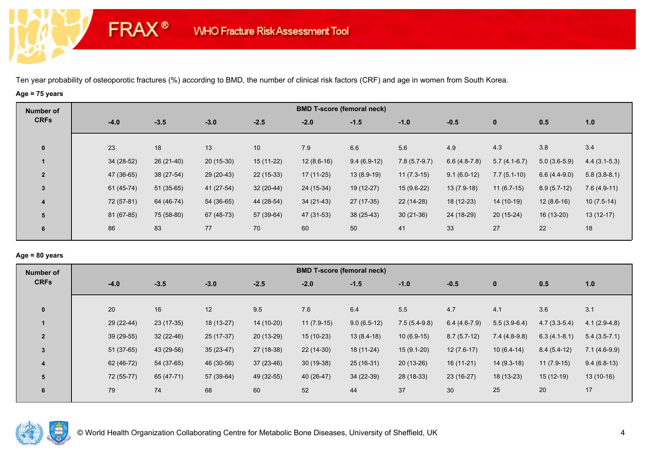# **Age = 75 years**

**FRAX®** 

| Number of      |             |             |             |             |              | <b>BMD T-score (femoral neck)</b> |                |                |                |                |                |
|----------------|-------------|-------------|-------------|-------------|--------------|-----------------------------------|----------------|----------------|----------------|----------------|----------------|
| <b>CRFs</b>    | $-4.0$      | $-3.5$      | $-3.0$      | $-2.5$      | $-2.0$       | $-1.5$                            | $-1.0$         | $-0.5$         | $\bf{0}$       | 0.5            | 1.0            |
| $\mathbf 0$    | 23          | 18          | 13          | 10          | 7.9          | 6.6                               | 5.6            | 4.9            | 4.3            | 3.8            | 3.4            |
|                | $34(28-52)$ | $26(21-40)$ | $20(15-30)$ | 15 (11-22)  | $12(8.6-16)$ | $9.4(6.9-12)$                     | $7.8(5.7-9.7)$ | $6.6(4.8-7.8)$ | $5.7(4.1-6.7)$ | $5.0(3.6-5.9)$ | $4.4(3.1-5.3)$ |
| $\overline{2}$ | 47 (36-65)  | 38 (27-54)  | 29 (20-43)  | $22(15-33)$ | $17(11-25)$  | $13(8.9-19)$                      | $11(7.3-15)$   | $9.1(6.0-12)$  | $7.7(5.1-10)$  | $6.6(4.4-9.0)$ | $5.8(3.8-8.1)$ |
| 3              | $61(45-74)$ | $51(35-65)$ | 41 (27-54)  | $32(20-44)$ | 24 (15-34)   | 19 (12-27)                        | $15(9.6-22)$   | $13(7.9-18)$   | $11(6.7-15)$   | $8.9(5.7-12)$  | $7.6(4.9-11)$  |
| 4              | 72 (57-81)  | 64 (46-74)  | $54(36-65)$ | 44 (28-54)  | $34(21-43)$  | $27(17-35)$                       | 22 (14-28)     | 18 (12-23)     | 14 (10-19)     | $12(8.6-16)$   | $10(7.5-14)$   |
| 5              | 81 (67-85)  | 75 (58-80)  | 67 (48-73)  | 57 (39-64)  | 47 (31-53)   | $38(25-43)$                       | $30(21-36)$    | 24 (18-29)     | $20(15-24)$    | 16 (13-20)     | $13(12-17)$    |
| 6              | 86          | 83          | 77          | 70          | 60           | 50                                | 41             | 33             | 27             | 22             | 18             |
|                |             |             |             |             |              |                                   |                |                |                |                |                |

### **Age = 80 years**

| <b>Number of</b> |             |             |             |             |              | <b>BMD T-score (femoral neck)</b> |                |                |                |                |                |
|------------------|-------------|-------------|-------------|-------------|--------------|-----------------------------------|----------------|----------------|----------------|----------------|----------------|
| <b>CRFs</b>      | $-4.0$      | $-3.5$      | $-3.0$      | $-2.5$      | $-2.0$       | $-1.5$                            | $-1.0$         | $-0.5$         | $\mathbf 0$    | 0.5            | 1.0            |
|                  |             |             |             |             |              |                                   |                |                |                |                |                |
| $\mathbf{0}$     | 20          | 16          | 12          | 9.5         | 7.6          | 6.4                               | 5.5            | 4.7            | 4.1            | 3.6            | 3.1            |
|                  | 29 (22-44)  | $23(17-35)$ | 18 (13-27)  | 14 (10-20)  | $11(7.9-15)$ | $9.0(6.5-12)$                     | $7.5(5.4-9.8)$ | $6.4(4.6-7.9)$ | $5.5(3.9-6.4)$ | $4.7(3.3-5.4)$ | $4.1(2.9-4.8)$ |
| $\overline{2}$   | 39 (29-55)  | $32(22-46)$ | 25 (17-37)  | $20(13-29)$ | $15(10-23)$  | $13(8.4-18)$                      | $10(6.9-15)$   | $8.7(5.7-12)$  | $7.4(4.8-9.8)$ | $6.3(4.1-8.1)$ | $5.4(3.5-7.1)$ |
| $\overline{3}$   | $51(37-65)$ | 43 (29-56)  | $35(23-47)$ | 27 (18-38)  | $22(14-30)$  | 18 (11-24)                        | $15(9.1-20)$   | $12(7.6-17)$   | $10(6.4-14)$   | $8.4(5.4-12)$  | $7.1(4.6-9.9)$ |
| 4                | 62 (46-72)  | 54 (37-65)  | 46 (30-56)  | $37(23-46)$ | $30(19-38)$  | $25(16-31)$                       | $20(13-26)$    | $16(11-21)$    | $14(9.3-18)$   | $11(7.9-15)$   | $9.4(6.8-13)$  |
| 5                | 72 (55-77)  | 65 (47-71)  | 57 (39-64)  | 49 (32-55)  | 40 (26-47)   | $34(22-39)$                       | 28 (18-33)     | $23(16-27)$    | $18(13-23)$    | $15(12-19)$    | $13(10-16)$    |
| 6                | 79          | 74          | 68          | 60          | 52           | 44                                | 37             | 30             | 25             | 20             | 17             |
|                  |             |             |             |             |              |                                   |                |                |                |                |                |